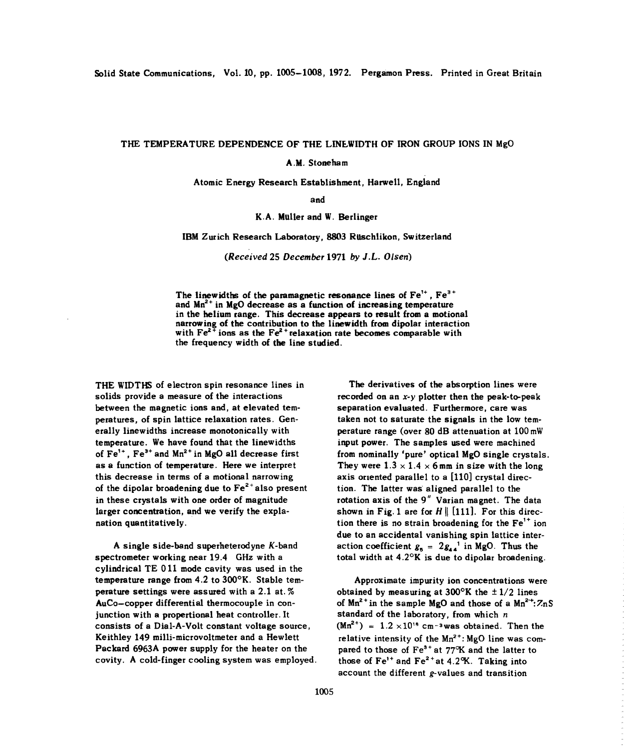## THE TEMPERATURE DEPENDENCE OF THE LINEWIDTH OF IRON GROUP IONS IN MgO

AM. Stoneham

Atomic Energy Research Establishment, Harwell, England

and

## K.A. Muller and W. Berlinger

## IBM Zurich Research Laboratory, 8803 Ruschlikon, Switzerland

*(Received* 25 *December* 1971 *by J.L. Olsen)*

The linewidths of the paramagnetic resonance lines of  $Fe^{1+}$ ,  $Fe^{3+}$ <br>and  $Me^{2+}$  in MgO decrease as a function of increasing temperature. and  $Mn^{2+}$  in  $MgO$  decrease as a function of increasing temperature in the helium range. This decrease appears to result from a motional narrowing of the contribution to the linewidth from dipolar interaction with  $Fe^{2+}$  ions as the  $Fe^{2+}$  relaxation rate becomes comparable with the frequency width of the line studied.

solids provide a measure of the interactions recorded on an  $x-y$  plotter then the peak-to-peak between the magnetic ions and, at elevated tern- separation evaluated. Furthermore, care was peratures, of spin lattice relaxation rates. Gen- taken not to saturate the signals in the low ternerally linewidths increase monotonically with perature range (over 80 dB attenuation at 100 mW temperature. We have found that the linewidths input power. The samples used were machined of  $Fe^{1+}$ . Fe<sup>3+</sup> and  $Mn^{2+}$  in MgO all decrease first of Fe<sup>1+</sup>, Fe<sup>3+</sup> and Mn<sup>2+</sup> in MgO all decrease first from nominally 'pure' optical MgO single crystals.<br>as a function of temperature. Here we interpret They were 1.3  $\times$  1.4  $\times$  6 mm in size with the long this decrease in terms of a motional narrowing axis oriented parallel to a [110] crystal direcof the dipolar broadening due to  $Fe^{2+}$  also present tion. The latter was aligned parallel to the in these crystals with one order of magnitude rotation axis of the 9" Varian magnet. The data In these crystals with one order of magnitude structure axis of the 9 varian magnet. The data<br>larger compostration, and we verify the explanarger concentration, and we verify the explaint the Shown in Fig. 1 are for  $H \parallel [1111]$ . For this direction of the Fe is no strain broadening for the Fe is not the Fe is not the Fe is not the Fe is not the Fe is not the

A single side-band superheterodyne *K*-band spectrometer working near 19.4 GHz with a total width at  $4.2^{\circ}$ K is due to dipolar broadening. cylindrical TE 011 mode cavity was used in the temperature range from 4.2 to 300°K. Stable temtemperature range from 4.2 to 300°K. Stable tem-<br>
perature settings were assured with a 2.1 at.% botained by measuring at 300°K the  $\pm$ 1/2 lines AuCo-copper differential thermocouple in con-<br>junction with a propertional heat controller. It consists of a Dial-A-Volt constant voltage source,  $(Mn^{2+}) = 1.2 \times 10^{18}$  cm<sup>-3</sup>was obtained. Then the Keithley 149 milli-microvoltmeter and a Hewlett Keithley 149 milli-microvoltmeter and a Hewlett relative intensity of the Mn<sup>2+</sup>: MgO line was compared to those of Fe<sup>3+</sup> at 77°K and the latter to Packard 6963A power supply for the heater on the pared to those of  $Fe^{3+}$  at 77°K and the latter to covity. A cold-finger cooling system was employed. those of  $Fe^{1+}$  and  $Fe^{2+}$  at 4.2°K. Taking into

THE WIDTHS of electron spin resonance lines in The derivatives of the absorption lines were tion there is no strain broadening for the  $Fe^{1+}$  ion due to an accidental vanishing spin lattice interaction coefficient  $g_5 = 2g_{44}^{-1}$  in MgO. Thus the

> obtained by measuring at 300°K the  $\pm$  1/2 lines of  $Mn^{2+}$  in the sample MgO and those of a  $Mn^{2+}$ : ZnS standard of the laboratory, from which *n* those of  $Fe^{1+}$  and  $Fe^{2+}$  at 4.2°K. Taking into account the different g-values and transition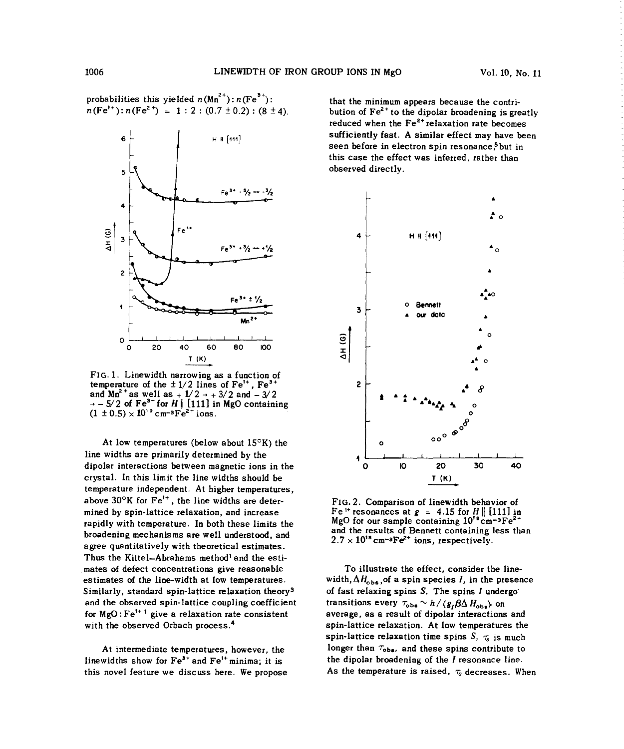probabilities this yielded  $n(Mn^{2+})$ :  $n(Fe^{3+})$ : probabilities this yielded  $n(Mn^+)$ :  $n(Fe^x)$ : that the minimum appears because the contri-<br> $n(Fe^{t+})$ :  $n(Fe^2t) = 1 : 2 : (0.7 \pm 0.2) : (8 \pm 4)$ . bution of  $Fe^{2+}$  to the dipolar broadening is gre



FIG. 1. Linewidth narrowing as a function of FIG. 1. Linewidth narrowing as a function of<br>temperature of the  $\pm 1/2$  lines of Fe<sup>1+</sup>, Fe<sup>3+</sup> 2  $\pm$ and Mn<sup>-</sup> as well as +  $\frac{1}{2}$   $\rightarrow$  +  $\frac{3}{2}$  and  $\rightarrow$  3/2  $\rightarrow$  **\***  $\rightarrow$  **\***  $\rightarrow$  **\***  $\rightarrow$  **\***  $(1 + 0.5) \times 10^{19}$  cm-3Fe<sup>2+</sup>ions. **Photo** containing.  $(1 + 0.5) \times 10^{19}$  cm-3Fe<sup>2+</sup>ions.

At low temperatures (below about 15<sup>o</sup>K) the **0 0 0** line widths are primarily determined by the dipolar interactions between magnetic ions in the 0 to 20 30 40 crystal. In this limit the line widths should be **T (K)** temperature independent. At higher temperatures, temperature independent. At higher temperatures,<br>above  $30^{\circ}$ K for  $Fe^{1+}$ , the line widths are deter-<br>FIG. 2. Comparison of linewidth behavior of mined by in formal care principle relation and increase Fe **14.2.** Comparison of the width behavior of the final in the spin-lattice relation and increase  $\frac{1}{2}$  in the spin-lattice relation and increase  $\frac{1}{2}$  in th mined by spin-lattice relaxation, and increase the MgC for our sample containing  $10^{19}$ cm<sup>-8</sup>Fe<sup>2+</sup><br>containing  $10^{19}$ cm<sup>-8</sup>Fe<sup>2+</sup> rapidly with temperature. In both these limits the  $\frac{MgO}{2.7 \times 10^{18} \text{ cm}^{-3} \text{Fe}^{2+}}$  ions, respectively.<br>broadening mechanisms are well understood, and  $2.7 \times 10^{18} \text{ cm}^{-3} \text{Fe}^{2+}$  ions, respectively. broadening mechanisms are well understood, and agree quantitatively with theoretical estimates.<br>Thus the Kittel–Abrahams method<sup>1</sup> and the estimates of defect concentrations give reasonable To illustrate the effect, consider the lineestimates of the line-width at low temperatures. width, $\Delta H_{\text{obs}}$ , of a spin species *I*, in the presence similarly, standard spin-lattice relaxation theory<sup>3</sup><br>and the observed spin-lattice coupling coefficient for  $MgO:Fe^{1+1}$  give a relaxation rate consistent with the observed Orbach process.<sup>4</sup>

this novel feature we discuss here. We propose  $\overline{a}$  As the temperature is raised,  $\tau_s$  decreases. When

bution of  $Fe<sup>2+</sup>$  to the dipolar broadening is greatly reduced when the  $Fe^{2+}$  relaxation rate becomes sufficiently fast. A similar effect may have been seen before in electron spin resonance,<sup>5</sup> but in this case the effect was inferred, rather than observed directly.



of fast relaxing spins S. The spins *I* undergo transitions every  $\tau_{obs} \sim h / (g_I \beta \Delta H_{obs})$  on<br>average, as a result of dipolar interactions and spin-lattice relaxation. At low temperatures the spin-lattice relaxation. At low temperatures the Spin-lattice telesation time spins of  $\eta_g$  is much spins contribute to the longer than  $\tau_{\text{obs}}$  and these spins contribute to At intermediate temperatures, however, the longer than  $\tau_{\text{obs}}$ , and these spins contribute to linewidths show for Fe<sup>3+</sup> and Fe<sup>1+</sup> minima; it is the dipolar broadening of the *I* resonance line.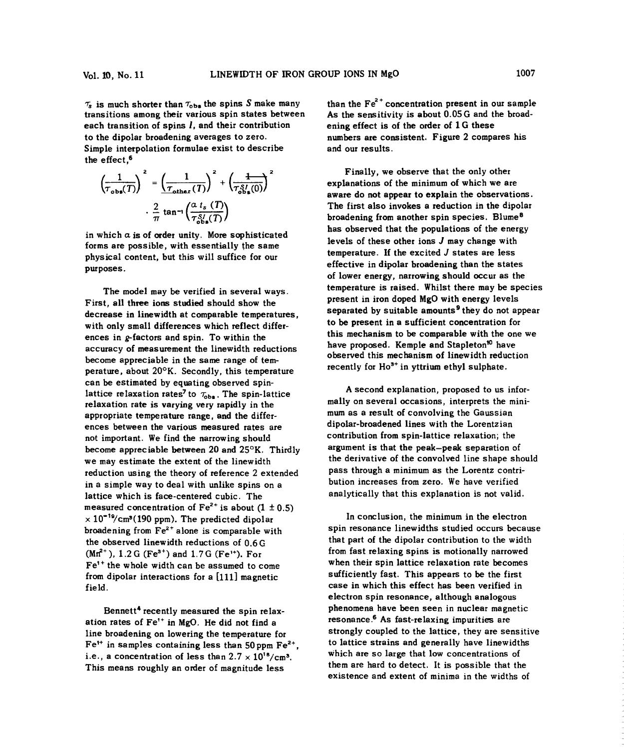$\tau_s$  is much shorter than  $\tau_{\text{obs}}$  the spins S make many than the Fe<sup>2+</sup> concentration present in our sample transitions among their various spin states between As the sensitivity is about 0.05G and the broadtransitions among their various spin states between each transition of spins *I*, and their contribution ening effect is of the order of 1 G these to the dipolar broadening averages to zero. The numbers are consistent. Figure 2 compares his Simple interpolation formulae exist to describe and our results. the effect,6

$$
\left(\frac{1}{\tau_{\text{obs}}(T)}\right)^2 = \left(\frac{1}{\tau_{\text{other}}(T)}\right)^2 + \left(\frac{1}{\tau_{\text{obs}}^S(\mathbf{0})}\right)^2
$$

$$
\frac{2}{\pi} \tan^{-1} \left(\frac{\alpha \ t_s(T)}{\tau_{\text{obs}}^S(\mathbf{0})}\right)
$$

in which  $a$  is of order unity. More sophisticated forms are possible, with essentially the same levels of these other ions *J* may change with physical content, but this will suffice for our temperature. If the excited *J* states are less purposes.<br>purposes.

First, all three ions studied should show the present in iron doped MgO with energy levels with only small differences which reflect differ-<br>with only small differences which reflect differ-<br>to be present in a sufficient concentration for ences in  $g$ -factors and spin. To within the this mechanism to be comparable with the one we accuracy of measurement the linewidth reductions have proposed. Kemple and Stapleton<sup>10</sup> have accuracy of measurement the linewidth reductions become appreciable in the same range of tem-<br>become appreciable in the same range of temperature, about  $20^{\circ}K$ . Secondly, this temperature recently for  $Ho^{3+}$  in yttrium ethyl sulphate. can be estimated by equating observed spinlattice relaxation rates<sup>7</sup> to  $\tau_{obs}$ . The spin-lattice and a second explanation, proposed to us intor-<br>relaxation rate is varying very rapidly in the mini-<br>mally on several occasions, interprets the miniappropriate temperature range, and the differ- mum as a result of convolving the Gaussian ences between the various measured rates are dipolar-broadened lines with the Lorentzian not important. We find the narrowing should contribution from spin-lattice relaxation; the become appreciable between 20 and 25°K. Thirdly argument is that the peak—peak separation of we may estimate the extent of the linewidth the derivative of the convolved line shape should reduction using the theory of reference <sup>2</sup> extended pass through a minimum as the Lorentz contriin a simple way to deal with unlike spins on a bution increases from zero. We have verified lattice which is face-centered cubic. The<br>measured concentration of  $Fe^{2+}$  is about (1 ± 0.5)  $\times 10^{-19}$ /cm<sup>3</sup>(190 ppm). The predicted dipolar In conclusion, the minimum in the electron broadening from  $Fe^{2+}$  alone is comparable with spin resonance linewidths studied occurs because the observed linewidth reductions of  $0.6 \, \text{G}$  that part of the dipolar contribution to the width  $(Mn^{2+})$ , 1.2 G (Fe<sup>3+</sup>) and 1.7 G (Fe<sup>1+</sup>). For from fast relaxing spins is motionally narrowed Fe<sup>1+</sup> the whole width can be assumed to come when their spin lattice relaxation rate becomes from dipolar interactions for a [111] magnetic sufficiently fast. This appears to be the first field. case in which this effect has been verified in

ation rates of  $Fe^{1+}$  in MgO. He did not find a resonance.<sup>6</sup> As fast-relaxing impurities are line broadening on lowering the temperature for strongly coupled to the lattice, they are sensitive Fe<sup>1+</sup> in samples containing less than 50 ppm Fe<sup>2+</sup>, to lattice strains and generally have linewidt<br>i.e., a concentration of less than  $2.7 \times 10^{18}/\text{cm}^3$ , which are so large that low concentrations of

**<sup>2</sup> <sup>2</sup>** 1 ~ **<sup>2</sup>** Finally, we observe that the only other explanations of the minimum of which we are  $\delta b_s^{(0)}$  explain the observations.  $\frac{2}{\pi}$  tan<sup>-1</sup> $\left(\frac{\alpha \cdot i_s}{\tau^{S/2}}\right)$  **The first also invokes a reduction in the dipolar section** in the dipolar **property** the property of the broadening from another spin species. Blume<sup>8</sup> 8 TT  $\frac{1}{2}$   $\frac{1}{2}$   $\frac{1}{2}$  broadening from another spin species. Blume has observed that the populations of the energy of lower energy, narrowing should occur as the The model may be verified in several ways. temperature is raised. Whilst there may be species decrease in linewidth at comparable temperatures, separated by suitable amounts<sup>9</sup> they do not appear decrease in linewidth at comparable temperatures,

> A second explanation, proposed to us inforanalytically that this explanation is not valid.

electron spin resonance, although analogous Bennett<sup>4</sup> recently measured the spin relax-<br>phenomena have been seen in nuclear magnetic to lattice strains and generally have linewidths This means roughly an order of magnitude less them are hard to detect. It is possible that the This means roughly an order of magnitude less